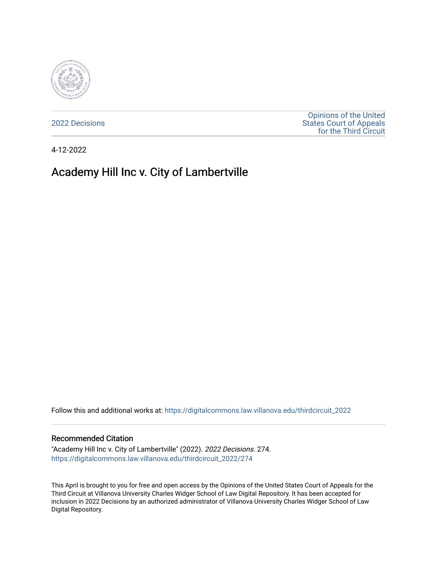

[2022 Decisions](https://digitalcommons.law.villanova.edu/thirdcircuit_2022)

[Opinions of the United](https://digitalcommons.law.villanova.edu/thirdcircuit)  [States Court of Appeals](https://digitalcommons.law.villanova.edu/thirdcircuit)  [for the Third Circuit](https://digitalcommons.law.villanova.edu/thirdcircuit) 

4-12-2022

# Academy Hill Inc v. City of Lambertville

Follow this and additional works at: [https://digitalcommons.law.villanova.edu/thirdcircuit\\_2022](https://digitalcommons.law.villanova.edu/thirdcircuit_2022?utm_source=digitalcommons.law.villanova.edu%2Fthirdcircuit_2022%2F274&utm_medium=PDF&utm_campaign=PDFCoverPages) 

#### Recommended Citation

"Academy Hill Inc v. City of Lambertville" (2022). 2022 Decisions. 274. [https://digitalcommons.law.villanova.edu/thirdcircuit\\_2022/274](https://digitalcommons.law.villanova.edu/thirdcircuit_2022/274?utm_source=digitalcommons.law.villanova.edu%2Fthirdcircuit_2022%2F274&utm_medium=PDF&utm_campaign=PDFCoverPages)

This April is brought to you for free and open access by the Opinions of the United States Court of Appeals for the Third Circuit at Villanova University Charles Widger School of Law Digital Repository. It has been accepted for inclusion in 2022 Decisions by an authorized administrator of Villanova University Charles Widger School of Law Digital Repository.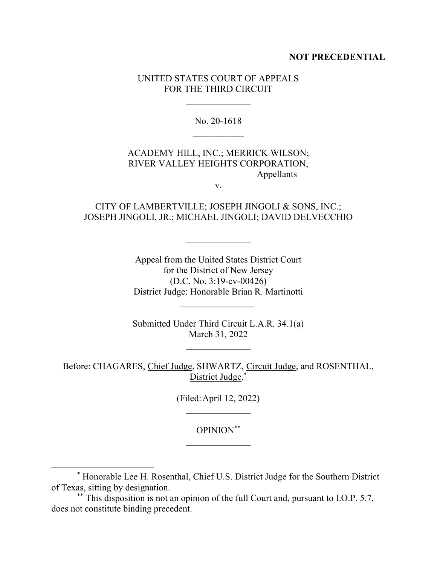### **NOT PRECEDENTIAL**

### UNITED STATES COURT OF APPEALS FOR THE THIRD CIRCUIT

No. 20-1618

## ACADEMY HILL, INC.; MERRICK WILSON; RIVER VALLEY HEIGHTS CORPORATION, Appellants

v.

### CITY OF LAMBERTVILLE; JOSEPH JINGOLI & SONS, INC.; JOSEPH JINGOLI, JR.; MICHAEL JINGOLI; DAVID DELVECCHIO

Appeal from the United States District Court for the District of New Jersey (D.C. No. 3:19-cv-00426) District Judge: Honorable Brian R. Martinotti

Submitted Under Third Circuit L.A.R. 34.1(a) March 31, 2022

 $\mathcal{L}_\text{max}$ 

Before: CHAGARES, Chief Judge, SHWARTZ, Circuit Judge, and ROSENTHAL, District Judge.\*

(Filed:April 12, 2022)

OPINION\*\*

<sup>\*</sup> Honorable Lee H. Rosenthal, Chief U.S. District Judge for the Southern District of Texas, sitting by designation.

<sup>\*\*</sup> This disposition is not an opinion of the full Court and, pursuant to I.O.P. 5.7, does not constitute binding precedent.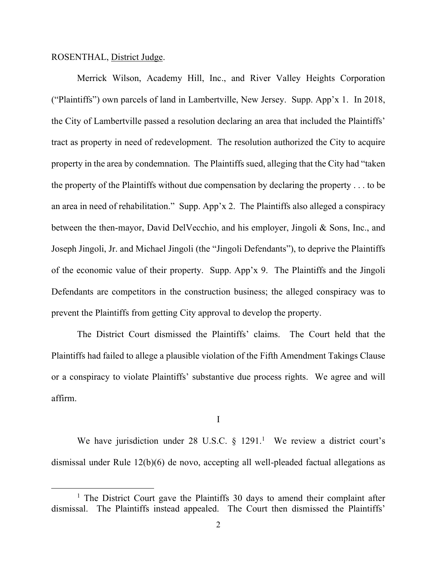### ROSENTHAL, District Judge.

Merrick Wilson, Academy Hill, Inc., and River Valley Heights Corporation ("Plaintiffs") own parcels of land in Lambertville, New Jersey. Supp. App'x 1. In 2018, the City of Lambertville passed a resolution declaring an area that included the Plaintiffs' tract as property in need of redevelopment. The resolution authorized the City to acquire property in the area by condemnation. The Plaintiffs sued, alleging that the City had "taken the property of the Plaintiffs without due compensation by declaring the property . . . to be an area in need of rehabilitation." Supp. App'x 2.The Plaintiffs also alleged a conspiracy between the then-mayor, David DelVecchio, and his employer, Jingoli & Sons, Inc., and Joseph Jingoli, Jr. and Michael Jingoli (the "Jingoli Defendants"), to deprive the Plaintiffs of the economic value of their property. Supp. App'x 9. The Plaintiffs and the Jingoli Defendants are competitors in the construction business; the alleged conspiracy was to prevent the Plaintiffs from getting City approval to develop the property.

The District Court dismissed the Plaintiffs' claims. The Court held that the Plaintiffs had failed to allege a plausible violation of the Fifth Amendment Takings Clause or a conspiracy to violate Plaintiffs' substantive due process rights. We agree and will affirm.

I

We have jurisdiction under 28 U.S.C.  $\S$  1291.<sup>1</sup> We review a district court's dismissal under Rule 12(b)(6) de novo, accepting all well-pleaded factual allegations as

<sup>&</sup>lt;sup>1</sup> The District Court gave the Plaintiffs 30 days to amend their complaint after dismissal. The Plaintiffs instead appealed. The Court then dismissed the Plaintiffs'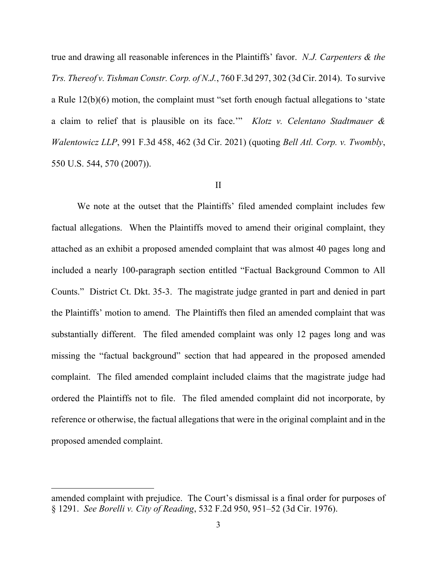true and drawing all reasonable inferences in the Plaintiffs' favor. *N.J. Carpenters & the Trs. Thereof v. Tishman Constr. Corp. of N.J.*, 760 F.3d 297, 302 (3d Cir. 2014). To survive a Rule 12(b)(6) motion, the complaint must "set forth enough factual allegations to 'state a claim to relief that is plausible on its face.'" *Klotz v. Celentano Stadtmauer & Walentowicz LLP*, 991 F.3d 458, 462 (3d Cir. 2021) (quoting *Bell Atl. Corp. v. Twombly*, 550 U.S. 544, 570 (2007)).

### II

We note at the outset that the Plaintiffs' filed amended complaint includes few factual allegations. When the Plaintiffs moved to amend their original complaint, they attached as an exhibit a proposed amended complaint that was almost 40 pages long and included a nearly 100-paragraph section entitled "Factual Background Common to All Counts." District Ct. Dkt. 35-3.The magistrate judge granted in part and denied in part the Plaintiffs' motion to amend. The Plaintiffs then filed an amended complaint that was substantially different. The filed amended complaint was only 12 pages long and was missing the "factual background" section that had appeared in the proposed amended complaint. The filed amended complaint included claims that the magistrate judge had ordered the Plaintiffs not to file. The filed amended complaint did not incorporate, by reference or otherwise, the factual allegations that were in the original complaint and in the proposed amended complaint.

amended complaint with prejudice. The Court's dismissal is a final order for purposes of § 1291. *See Borelli v. City of Reading*, 532 F.2d 950, 951–52 (3d Cir. 1976).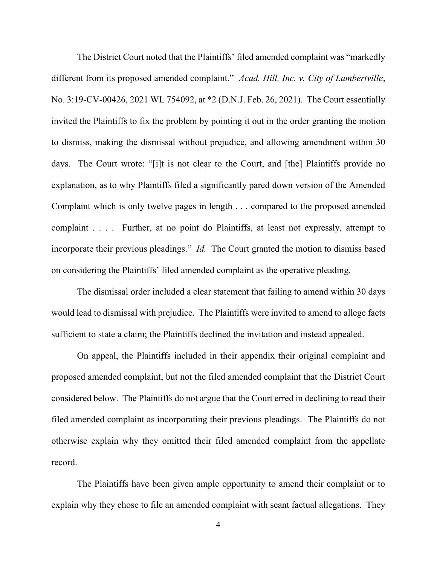The District Court noted that the Plaintiffs' filed amended complaint was "markedly different from its proposed amended complaint." *Acad. Hill, Inc. v. City of Lambertville*, No. 3:19-CV-00426, 2021 WL 754092, at \*2 (D.N.J. Feb. 26, 2021).The Court essentially invited the Plaintiffs to fix the problem by pointing it out in the order granting the motion to dismiss, making the dismissal without prejudice, and allowing amendment within 30 days. The Court wrote: "[i]t is not clear to the Court, and [the] Plaintiffs provide no explanation, as to why Plaintiffs filed a significantly pared down version of the Amended Complaint which is only twelve pages in length . . . compared to the proposed amended complaint . . . . Further, at no point do Plaintiffs, at least not expressly, attempt to incorporate their previous pleadings." *Id.* The Court granted the motion to dismiss based on considering the Plaintiffs' filed amended complaint as the operative pleading.

The dismissal order included a clear statement that failing to amend within 30 days would lead to dismissal with prejudice. The Plaintiffs were invited to amend to allege facts sufficient to state a claim; the Plaintiffs declined the invitation and instead appealed.

On appeal, the Plaintiffs included in their appendix their original complaint and proposed amended complaint, but not the filed amended complaint that the District Court considered below. The Plaintiffs do not argue that the Court erred in declining to read their filed amended complaint as incorporating their previous pleadings. The Plaintiffs do not otherwise explain why they omitted their filed amended complaint from the appellate record.

The Plaintiffs have been given ample opportunity to amend their complaint or to explain why they chose to file an amended complaint with scant factual allegations. They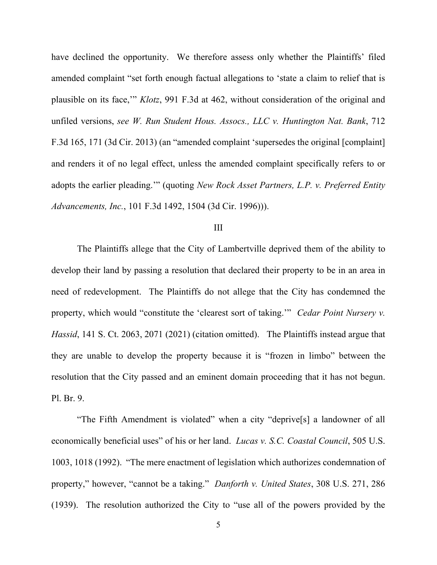have declined the opportunity. We therefore assess only whether the Plaintiffs' filed amended complaint "set forth enough factual allegations to 'state a claim to relief that is plausible on its face,'" *Klotz*, 991 F.3d at 462, without consideration of the original and unfiled versions, *see W. Run Student Hous. Assocs., LLC v. Huntington Nat. Bank*, 712 F.3d 165, 171 (3d Cir. 2013) (an "amended complaint 'supersedes the original [complaint] and renders it of no legal effect, unless the amended complaint specifically refers to or adopts the earlier pleading.'" (quoting *New Rock Asset Partners, L.P. v. Preferred Entity Advancements, Inc.*, 101 F.3d 1492, 1504 (3d Cir. 1996))).

#### III

The Plaintiffs allege that the City of Lambertville deprived them of the ability to develop their land by passing a resolution that declared their property to be in an area in need of redevelopment. The Plaintiffs do not allege that the City has condemned the property, which would "constitute the 'clearest sort of taking.'" *Cedar Point Nursery v. Hassid*, 141 S. Ct. 2063, 2071 (2021) (citation omitted). The Plaintiffs instead argue that they are unable to develop the property because it is "frozen in limbo" between the resolution that the City passed and an eminent domain proceeding that it has not begun. Pl. Br. 9.

"The Fifth Amendment is violated" when a city "deprive[s] a landowner of all economically beneficial uses" of his or her land. *Lucas v. S.C. Coastal Council*, 505 U.S. 1003, 1018 (1992). "The mere enactment of legislation which authorizes condemnation of property," however, "cannot be a taking." *Danforth v. United States*, 308 U.S. 271, 286 (1939). The resolution authorized the City to "use all of the powers provided by the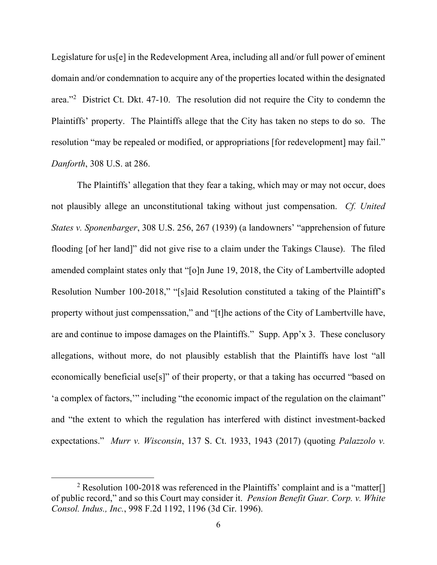Legislature for us[e] in the Redevelopment Area, including all and/or full power of eminent domain and/or condemnation to acquire any of the properties located within the designated area."<sup>2</sup> District Ct. Dkt. 47-10.The resolution did not require the City to condemn the Plaintiffs' property. The Plaintiffs allege that the City has taken no steps to do so. The resolution "may be repealed or modified, or appropriations [for redevelopment] may fail." *Danforth*, 308 U.S. at 286.

The Plaintiffs' allegation that they fear a taking, which may or may not occur, does not plausibly allege an unconstitutional taking without just compensation. *Cf. United States v. Sponenbarger*, 308 U.S. 256, 267 (1939) (a landowners' "apprehension of future flooding [of her land]" did not give rise to a claim under the Takings Clause). The filed amended complaint states only that "[o]n June 19, 2018, the City of Lambertville adopted Resolution Number 100-2018," "[s]aid Resolution constituted a taking of the Plaintiff's property without just compenssation," and "[t]he actions of the City of Lambertville have, are and continue to impose damages on the Plaintiffs." Supp. App'x 3.These conclusory allegations, without more, do not plausibly establish that the Plaintiffs have lost "all economically beneficial use[s]" of their property, or that a taking has occurred "based on 'a complex of factors,'" including "the economic impact of the regulation on the claimant" and "the extent to which the regulation has interfered with distinct investment-backed expectations." *Murr v. Wisconsin*, 137 S. Ct. 1933, 1943 (2017) (quoting *Palazzolo v.* 

<sup>&</sup>lt;sup>2</sup> Resolution 100-2018 was referenced in the Plaintiffs' complaint and is a "matter. of public record," and so this Court may consider it. *Pension Benefit Guar. Corp. v. White Consol. Indus., Inc.*, 998 F.2d 1192, 1196 (3d Cir. 1996).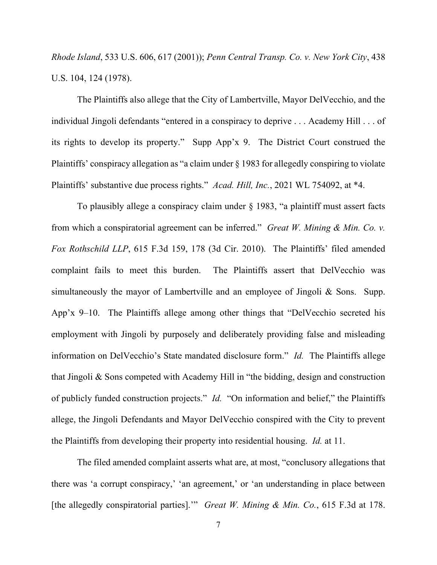*Rhode Island*, 533 U.S. 606, 617 (2001)); *Penn Central Transp. Co. v. New York City*, 438 U.S. 104, 124 (1978).

The Plaintiffs also allege that the City of Lambertville, Mayor DelVecchio, and the individual Jingoli defendants "entered in a conspiracy to deprive . . . Academy Hill . . . of its rights to develop its property." Supp App'x 9.The District Court construed the Plaintiffs' conspiracy allegation as "a claim under § 1983 for allegedly conspiring to violate Plaintiffs' substantive due process rights." *Acad. Hill, Inc.*, 2021 WL 754092, at \*4.

To plausibly allege a conspiracy claim under § 1983, "a plaintiff must assert facts from which a conspiratorial agreement can be inferred." *Great W. Mining & Min. Co. v. Fox Rothschild LLP*, 615 F.3d 159, 178 (3d Cir. 2010). The Plaintiffs' filed amended complaint fails to meet this burden. The Plaintiffs assert that DelVecchio was simultaneously the mayor of Lambertville and an employee of Jingoli & Sons. Supp. App'x 9–10.The Plaintiffs allege among other things that "DelVecchio secreted his employment with Jingoli by purposely and deliberately providing false and misleading information on DelVecchio's State mandated disclosure form." *Id.*The Plaintiffs allege that Jingoli & Sons competed with Academy Hill in "the bidding, design and construction of publicly funded construction projects." *Id.*"On information and belief," the Plaintiffs allege, the Jingoli Defendants and Mayor DelVecchio conspired with the City to prevent the Plaintiffs from developing their property into residential housing. *Id.* at 11.

The filed amended complaint asserts what are, at most, "conclusory allegations that there was 'a corrupt conspiracy,' 'an agreement,' or 'an understanding in place between [the allegedly conspiratorial parties].'" *Great W. Mining & Min. Co.*, 615 F.3d at 178.